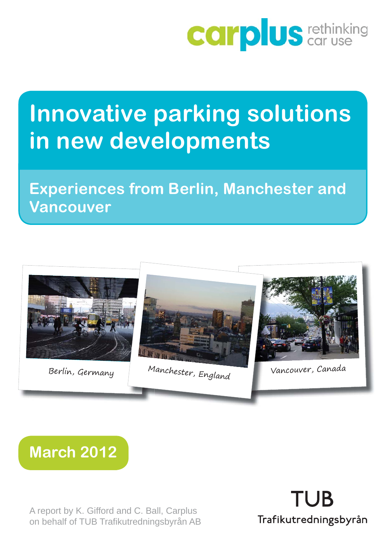

# **Innovative parking solutions in new developments**

**Experiences from Berlin, Manchester and Vancouver**





A report by K. Gifford and C. Ball, Carplus on behalf of TUB Trafikutredningsbyrån AB

**TUB** Trafikutredningsbyrån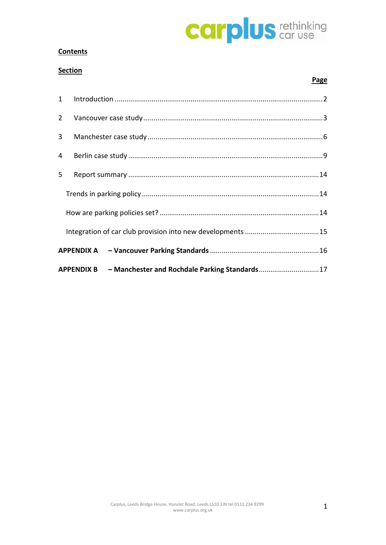

 **Page**

#### **Contents**

#### **Section**

|                |  | APPENDIX B - Manchester and Rochdale Parking Standards17 |  |  |  |  |
|----------------|--|----------------------------------------------------------|--|--|--|--|
|                |  |                                                          |  |  |  |  |
|                |  |                                                          |  |  |  |  |
|                |  |                                                          |  |  |  |  |
|                |  |                                                          |  |  |  |  |
| 5              |  |                                                          |  |  |  |  |
| $\overline{4}$ |  |                                                          |  |  |  |  |
| 3 <sup>1</sup> |  |                                                          |  |  |  |  |
|                |  |                                                          |  |  |  |  |
|                |  |                                                          |  |  |  |  |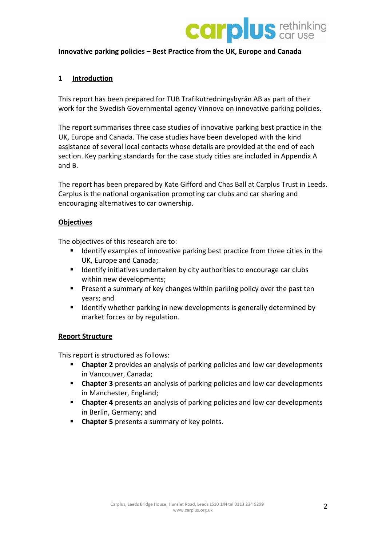

#### **Innovative parking policies – Best Practice from the UK, Europe and Canada**

#### <span id="page-2-0"></span>**1 Introduction**

This report has been prepared for TUB Trafikutredningsbyrån AB as part of their work for the Swedish Governmental agency Vinnova on innovative parking policies.

The report summarises three case studies of innovative parking best practice in the UK, Europe and Canada. The case studies have been developed with the kind assistance of several local contacts whose details are provided at the end of each section. Key parking standards for the case study cities are included in Appendix A and B.

The report has been prepared by Kate Gifford and Chas Ball at Carplus Trust in Leeds. Carplus is the national organisation promoting car clubs and car sharing and encouraging alternatives to car ownership.

#### **Objectives**

The objectives of this research are to:

- **If all incident** Identify examples of innovative parking best practice from three cities in the UK, Europe and Canada;
- **If Identify initiatives undertaken by city authorities to encourage car clubs** within new developments;
- **Present a summary of key changes within parking policy over the past ten** years; and
- **If all identify whether parking in new developments is generally determined by** market forces or by regulation.

#### **Report Structure**

This report is structured as follows:

- **Chapter 2** provides an analysis of parking policies and low car developments in Vancouver, Canada;
- **Chapter 3** presents an analysis of parking policies and low car developments in Manchester, England;
- **Chapter 4** presents an analysis of parking policies and low car developments in Berlin, Germany; and
- **Chapter 5** presents a summary of key points.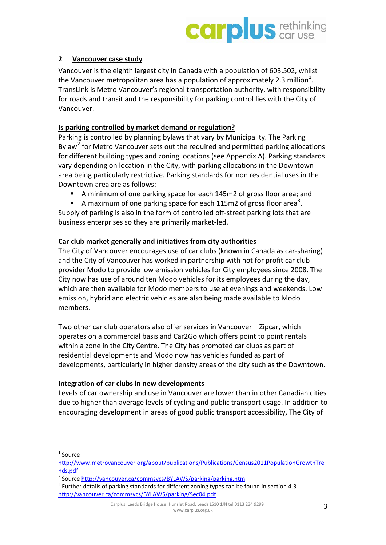

#### <span id="page-3-0"></span>**2 Vancouver case study**

Vancouver is the eighth largest city in Canada with a population of 603,502, whilst the Vancouver metropolitan area has a population of approximately 2.3 million<sup>[1](#page-3-1)</sup>. TransLink is Metro Vancouver's regional transportation authority, with responsibility for roads and transit and the responsibility for parking control lies with the City of Vancouver.

#### **Is parking controlled by market demand or regulation?**

Parking is controlled by planning bylaws that vary by Municipality. The Parking Bylaw<sup>[2](#page-3-2)</sup> for Metro Vancouver sets out the required and permitted parking allocations for different building types and zoning locations (see Appendix A). Parking standards vary depending on location in the City, with parking allocations in the Downtown area being particularly restrictive. Parking standards for non residential uses in the Downtown area are as follows:

- A minimum of one parking space for each 145m2 of gross floor area; and
- A maximum of one parking space for each 115m2 of gross floor area<sup>[3](#page-3-3)</sup>.

Supply of parking is also in the form of controlled off-street parking lots that are business enterprises so they are primarily market-led.

#### **Car club market generally and initiatives from city authorities**

The City of Vancouver encourages use of car clubs (known in Canada as car-sharing) and the City of Vancouver has worked in partnership with not for profit car club provider Modo to provide low emission vehicles for City employees since 2008. The City now has use of around ten Modo vehicles for its employees during the day, which are then available for Modo members to use at evenings and weekends. Low emission, hybrid and electric vehicles are also being made available to Modo members.

Two other car club operators also offer services in Vancouver – Zipcar, which operates on a commercial basis and Car2Go which offers point to point rentals within a zone in the City Centre. The City has promoted car clubs as part of residential developments and Modo now has vehicles funded as part of developments, particularly in higher density areas of the city such as the Downtown.

#### **Integration of car clubs in new developments**

Levels of car ownership and use in Vancouver are lower than in other Canadian cities due to higher than average levels of cycling and public transport usage. In addition to encouraging development in areas of good public transport accessibility, The City of

<span id="page-3-1"></span> $1$  Source

[http://www.metrovancouver.org/about/publications/Publications/Census2011PopulationGrowthTre](http://www.metrovancouver.org/about/publications/Publications/Census2011PopulationGrowthTrends.pdf) [nds.pdf](http://www.metrovancouver.org/about/publications/Publications/Census2011PopulationGrowthTrends.pdf)<br>
<sup>2</sup> Source http://vancouver.ca/commsvcs/BYLAWS/parking/parking.htm

<span id="page-3-3"></span><span id="page-3-2"></span> $3$  Further details of parking standards for different zoning types can be found in section 4.3 <http://vancouver.ca/commsvcs/BYLAWS/parking/Sec04.pdf>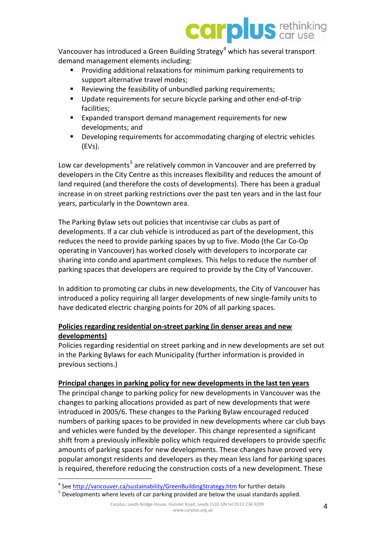

Vancouver has introduced a Green Building Strategy<sup>[4](#page-4-0)</sup> which has several transport demand management elements including:

- Providing additional relaxations for minimum parking requirements to support alternative travel modes;
- Reviewing the feasibility of unbundled parking requirements;
- **Update requirements for secure bicycle parking and other end-of-trip** facilities;
- Expanded transport demand management requirements for new developments; and
- Developing requirements for accommodating charging of electric vehicles (EVs).

Low car developments<sup>[5](#page-4-1)</sup> are relatively common in Vancouver and are preferred by developers in the City Centre as this increases flexibility and reduces the amount of land required (and therefore the costs of developments). There has been a gradual increase in on street parking restrictions over the past ten years and in the last four years, particularly in the Downtown area.

The Parking Bylaw sets out policies that incentivise car clubs as part of developments. If a car club vehicle is introduced as part of the development, this reduces the need to provide parking spaces by up to five. Modo (the Car Co-Op operating in Vancouver) has worked closely with developers to incorporate car sharing into condo and apartment complexes. This helps to reduce the number of parking spaces that developers are required to provide by the City of Vancouver.

In addition to promoting car clubs in new developments, the City of Vancouver has introduced a policy requiring all larger developments of new single-family units to have dedicated electric charging points for 20% of all parking spaces.

#### **Policies regarding residential on-street parking (in denser areas and new developments)**

Policies regarding residential on street parking and in new developments are set out in the Parking Bylaws for each Municipality (further information is provided in previous sections.)

#### **Principal changes in parking policy for new developments in the last ten years**

The principal change to parking policy for new developments in Vancouver was the changes to parking allocations provided as part of new developments that were introduced in 2005/6. These changes to the Parking Bylaw encouraged reduced numbers of parking spaces to be provided in new developments where car club bays and vehicles were funded by the developer. This change represented a significant shift from a previously inflexible policy which required developers to provide specific amounts of parking spaces for new developments. These changes have proved very popular amongst residents and developers as they mean less land for parking spaces is required, therefore reducing the construction costs of a new development. These

<sup>&</sup>lt;sup>4</sup> See<http://vancouver.ca/sustainability/GreenBuildingStrategy.htm> for further details

<span id="page-4-1"></span><span id="page-4-0"></span> $<sup>5</sup>$  Developments where levels of car parking provided are below the usual standards applied.</sup>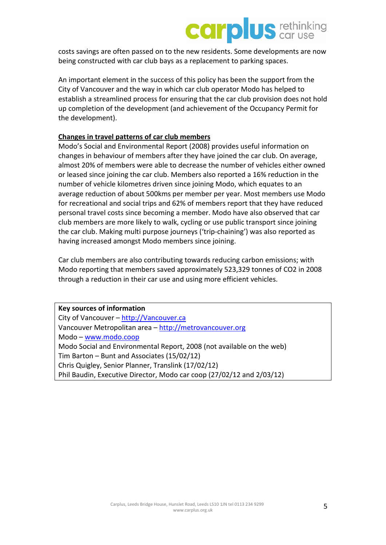### **plus** tethinking car

costs savings are often passed on to the new residents. Some developments are now being constructed with car club bays as a replacement to parking spaces.

An important element in the success of this policy has been the support from the City of Vancouver and the way in which car club operator Modo has helped to establish a streamlined process for ensuring that the car club provision does not hold up completion of the development (and achievement of the Occupancy Permit for the development).

#### **Changes in travel patterns of car club members**

Modo's Social and Environmental Report (2008) provides useful information on changes in behaviour of members after they have joined the car club. On average, almost 20% of members were able to decrease the number of vehicles either owned or leased since joining the car club. Members also reported a 16% reduction in the number of vehicle kilometres driven since joining Modo, which equates to an average reduction of about 500kms per member per year. Most members use Modo for recreational and social trips and 62% of members report that they have reduced personal travel costs since becoming a member. Modo have also observed that car club members are more likely to walk, cycling or use public transport since joining the car club. Making multi purpose journeys ('trip-chaining') was also reported as having increased amongst Modo members since joining.

Car club members are also contributing towards reducing carbon emissions; with Modo reporting that members saved approximately 523,329 tonnes of CO2 in 2008 through a reduction in their car use and using more efficient vehicles.

| <b>Key sources of information</b>                                     |  |  |  |  |  |
|-----------------------------------------------------------------------|--|--|--|--|--|
| City of Vancouver - http://Vancouver.ca                               |  |  |  |  |  |
| Vancouver Metropolitan area - http://metrovancouver.org               |  |  |  |  |  |
| $Modo - www.modo.coop$                                                |  |  |  |  |  |
| Modo Social and Environmental Report, 2008 (not available on the web) |  |  |  |  |  |
| Tim Barton - Bunt and Associates (15/02/12)                           |  |  |  |  |  |
| Chris Quigley, Senior Planner, Translink (17/02/12)                   |  |  |  |  |  |
| Phil Baudin, Executive Director, Modo car coop (27/02/12 and 2/03/12) |  |  |  |  |  |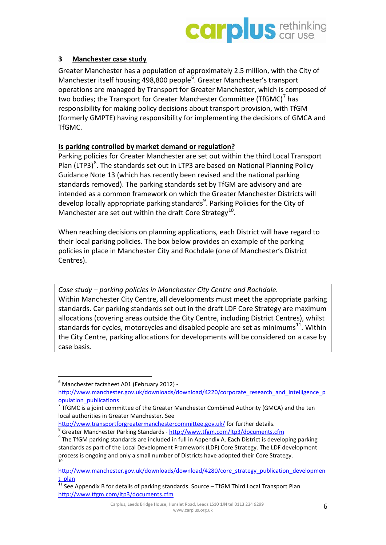

#### <span id="page-6-0"></span>**3 Manchester case study**

Greater Manchester has a population of approximately 2.5 million, with the City of Manchester itself housing 498,800 people<sup>[6](#page-6-1)</sup>. Greater Manchester's transport operations are managed by Transport for Greater Manchester, which is composed of two bodies; the Transport for Greater Manchester Committee (TfGMC)<sup>[7](#page-6-2)</sup> has responsibility for making policy decisions about transport provision, with TfGM (formerly GMPTE) having responsibility for implementing the decisions of GMCA and TfGMC.

#### **Is parking controlled by market demand or regulation?**

Parking policies for Greater Manchester are set out within the third Local Transport Plan (LTP3)<sup>[8](#page-6-3)</sup>. The standards set out in LTP3 are based on National Planning Policy Guidance Note 13 (which has recently been revised and the national parking standards removed). The parking standards set by TfGM are advisory and are intended as a common framework on which the Greater Manchester Districts will develop locally appropriate parking standards<sup>[9](#page-6-4)</sup>. Parking Policies for the City of Manchester are set out within the draft Core Strategy<sup>10</sup>.

When reaching decisions on planning applications, each District will have regard to their local parking policies. The box below provides an example of the parking policies in place in Manchester City and Rochdale (one of Manchester's District Centres).

*Case study – parking policies in Manchester City Centre and Rochdale.*  Within Manchester City Centre, all developments must meet the appropriate parking standards. Car parking standards set out in the draft LDF Core Strategy are maximum allocations (covering areas outside the City Centre, including District Centres), whilst standards for cycles, motorcycles and disabled people are set as minimums<sup>11</sup>. Within the City Centre, parking allocations for developments will be considered on a case by case basis.

<span id="page-6-1"></span> $6$  Manchester factsheet A01 (February 2012) -

[http://www.manchester.gov.uk/downloads/download/4220/corporate\\_research\\_and\\_intelligence\\_p](http://www.manchester.gov.uk/downloads/download/4220/corporate_research_and_intelligence_population_publications) [opulation\\_publications](http://www.manchester.gov.uk/downloads/download/4220/corporate_research_and_intelligence_population_publications)

<span id="page-6-2"></span><sup>7</sup> TfGMC is a joint committee of the Greater Manchester Combined Authority (GMCA) and the ten local authorities in Greater Manchester. See

<span id="page-6-4"></span><span id="page-6-3"></span>http://www.transportforgreatermanchestercommittee.gov.uk/ for further details.<br>
<sup>[8](http://www.transportforgreatermanchestercommittee.gov.uk/)</sup> Greater Manchester Parking Standards - <http://www.tfgm.com/ltp3/documents.cfm><br>
<sup>9</sup> The TfGM parking standards are included in full in Appe standards as part of the Local Development Framework (LDF) Core Strategy. The LDF development process is ongoing and only a small number of Districts have adopted their Core Strategy.

<span id="page-6-5"></span>[http://www.manchester.gov.uk/downloads/download/4280/core\\_strategy\\_publication\\_developmen](http://www.manchester.gov.uk/downloads/download/4280/core_strategy_publication_development_plan) [t\\_plan](http://www.manchester.gov.uk/downloads/download/4280/core_strategy_publication_development_plan)

<span id="page-6-6"></span> $11$  See Appendix B for details of parking standards. Source  $-$  TfGM Third Local Transport Plan <http://www.tfgm.com/ltp3/documents.cfm>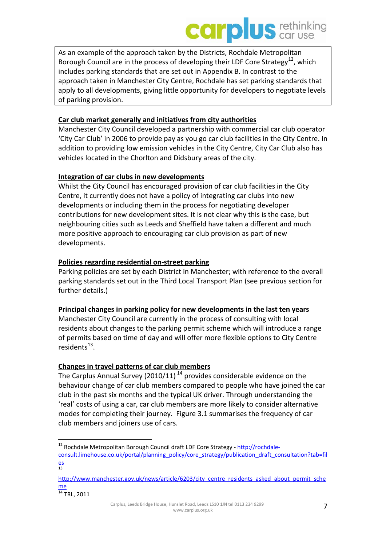### **DUS** *car use* **car**

As an example of the approach taken by the Districts, Rochdale Metropolitan Borough Council are in the process of developing their LDF Core Strategy<sup>12</sup>, which includes parking standards that are set out in Appendix B. In contrast to the approach taken in Manchester City Centre, Rochdale has set parking standards that apply to all developments, giving little opportunity for developers to negotiate levels of parking provision.

#### **Car club market generally and initiatives from city authorities**

Manchester City Council developed a partnership with commercial car club operator 'City Car Club' in 2006 to provide pay as you go car club facilities in the City Centre. In addition to providing low emission vehicles in the City Centre, City Car Club also has vehicles located in the Chorlton and Didsbury areas of the city.

#### **Integration of car clubs in new developments**

Whilst the City Council has encouraged provision of car club facilities in the City Centre, it currently does not have a policy of integrating car clubs into new developments or including them in the process for negotiating developer contributions for new development sites. It is not clear why this is the case, but neighbouring cities such as Leeds and Sheffield have taken a different and much more positive approach to encouraging car club provision as part of new developments.

#### **Policies regarding residential on-street parking**

Parking policies are set by each District in Manchester; with reference to the overall parking standards set out in the Third Local Transport Plan (see previous section for further details.)

#### **Principal changes in parking policy for new developments in the last ten years**

Manchester City Council are currently in the process of consulting with local residents about changes to the parking permit scheme which will introduce a range of permits based on time of day and will offer more flexible options to City Centre residents<sup>13</sup>.

#### **Changes in travel patterns of car club members**

The Carplus Annual Survey (2010/11)<sup>[14](#page-7-2)</sup> provides considerable evidence on the behaviour change of car club members compared to people who have joined the car club in the past six months and the typical UK driver. Through understanding the 'real' costs of using a car, car club members are more likely to consider alternative modes for completing their journey. Figure 3.1 summarises the frequency of car club members and joiners use of cars.

<span id="page-7-0"></span><sup>&</sup>lt;sup>12</sup> Rochdale Metropolitan Borough Council draft LDF Core Strategy - [http://rochdale](http://rochdale-consult.limehouse.co.uk/portal/planning_policy/core_strategy/publication_draft_consultation?tab=files)[consult.limehouse.co.uk/portal/planning\\_policy/core\\_strategy/publication\\_draft\\_consultation?tab=fil](http://rochdale-consult.limehouse.co.uk/portal/planning_policy/core_strategy/publication_draft_consultation?tab=files) [es](http://rochdale-consult.limehouse.co.uk/portal/planning_policy/core_strategy/publication_draft_consultation?tab=files) 13

<span id="page-7-1"></span>[http://www.manchester.gov.uk/news/article/6203/city\\_centre\\_residents\\_asked\\_about\\_permit\\_sche](http://www.manchester.gov.uk/news/article/6203/city_centre_residents_asked_about_permit_scheme) [me](http://www.manchester.gov.uk/news/article/6203/city_centre_residents_asked_about_permit_scheme)

<span id="page-7-2"></span> $14$  TRL, 2011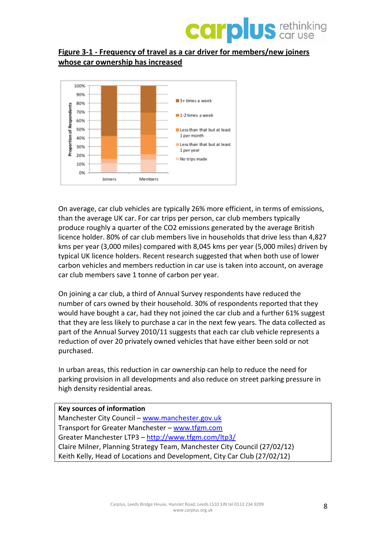

#### **Figure 3-1 - Frequency of travel as a car driver for members/new joiners whose car ownership has increased**



On average, car club vehicles are typically 26% more efficient, in terms of emissions, than the average UK car. For car trips per person, car club members typically produce roughly a quarter of the CO2 emissions generated by the average British licence holder. 80% of car club members live in households that drive less than 4,827 kms per year (3,000 miles) compared with 8,045 kms per year (5,000 miles) driven by typical UK licence holders. Recent research suggested that when both use of lower carbon vehicles and members reduction in car use is taken into account, on average car club members save 1 tonne of carbon per year.

On joining a car club, a third of Annual Survey respondents have reduced the number of cars owned by their household. 30% of respondents reported that they would have bought a car, had they not joined the car club and a further 61% suggest that they are less likely to purchase a car in the next few years. The data collected as part of the Annual Survey 2010/11 suggests that each car club vehicle represents a reduction of over 20 privately owned vehicles that have either been sold or not purchased.

In urban areas, this reduction in car ownership can help to reduce the need for parking provision in all developments and also reduce on street parking pressure in high density residential areas.

**Key sources of information** Manchester City Council – [www.manchester.gov.uk](http://www.manchester.gov.uk/) Transport for Greater Manchester – [www.tfgm.com](http://www.tfgm.com/) Greater Manchester LTP3 – <http://www.tfgm.com/ltp3/> Claire Milner, Planning Strategy Team, Manchester City Council (27/02/12) Keith Kelly, Head of Locations and Development, City Car Club (27/02/12)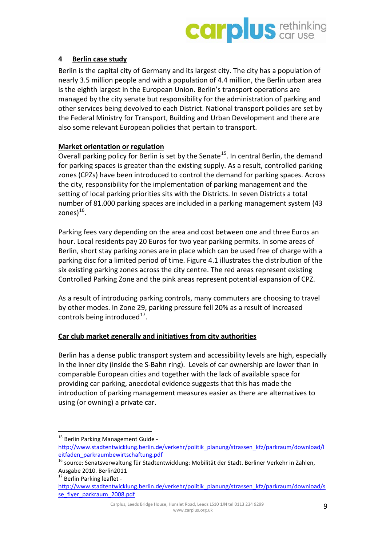

#### <span id="page-9-0"></span>**4 Berlin case study**

Berlin is the capital city of Germany and its largest city. The city has a population of nearly 3.5 million people and with a population of 4.4 million, the Berlin urban area is the eighth largest in the European Union. Berlin's transport operations are managed by the city senate but responsibility for the administration of parking and other services being devolved to each District. National transport policies are set by the Federal Ministry for Transport, Building and Urban Development and there are also some relevant European policies that pertain to transport.

#### **Market orientation or regulation**

Overall parking policy for Berlin is set by the Senate<sup>[15](#page-9-1)</sup>. In central Berlin, the demand for parking spaces is greater than the existing supply. As a result, controlled parking zones (CPZs) have been introduced to control the demand for parking spaces. Across the city, responsibility for the implementation of parking management and the setting of local parking priorities sits with the Districts. In seven Districts a total number of 81.000 parking spaces are included in a parking management system (43 zones $)^{16}$  $)^{16}$  $)^{16}$ .

Parking fees vary depending on the area and cost between one and three Euros an hour. Local residents pay 20 Euros for two year parking permits. In some areas of Berlin, short stay parking zones are in place which can be used free of charge with a parking disc for a limited period of time. Figure 4.1 illustrates the distribution of the six existing parking zones across the city centre. The red areas represent existing Controlled Parking Zone and the pink areas represent potential expansion of CPZ.

As a result of introducing parking controls, many commuters are choosing to travel by other modes. In Zone 29, parking pressure fell 20% as a result of increased controls being introduced $^{17}$  $^{17}$  $^{17}$ .

#### **Car club market generally and initiatives from city authorities**

Berlin has a dense public transport system and accessibility levels are high, especially in the inner city (inside the S-Bahn ring). Levels of car ownership are lower than in comparable European cities and together with the lack of available space for providing car parking, anecdotal evidence suggests that this has made the introduction of parking management measures easier as there are alternatives to using (or owning) a private car.

<span id="page-9-1"></span><sup>&</sup>lt;sup>15</sup> Berlin Parking Management Guide [http://www.stadtentwicklung.berlin.de/verkehr/politik\\_planung/strassen\\_kfz/parkraum/download/l](http://www.stadtentwicklung.berlin.de/verkehr/politik_planung/strassen_kfz/parkraum/download/leitfaden_parkraumbewirtschaftung.pdf) [eitfaden\\_parkraumbewirtschaftung.pdf](http://www.stadtentwicklung.berlin.de/verkehr/politik_planung/strassen_kfz/parkraum/download/leitfaden_parkraumbewirtschaftung.pdf)

<span id="page-9-2"></span><sup>&</sup>lt;sup>16</sup> source: Senatsverwaltung für Stadtentwicklung: Mobilität der Stadt. Berliner Verkehr in Zahlen, Ausgabe 2010. Berlin2011

<sup>&</sup>lt;sup>17</sup> Berlin Parking leaflet -

<span id="page-9-3"></span>[http://www.stadtentwicklung.berlin.de/verkehr/politik\\_planung/strassen\\_kfz/parkraum/download/s](http://www.stadtentwicklung.berlin.de/verkehr/politik_planung/strassen_kfz/parkraum/download/sse_flyer_parkraum_2008.pdf) se flyer parkraum 2008.pdf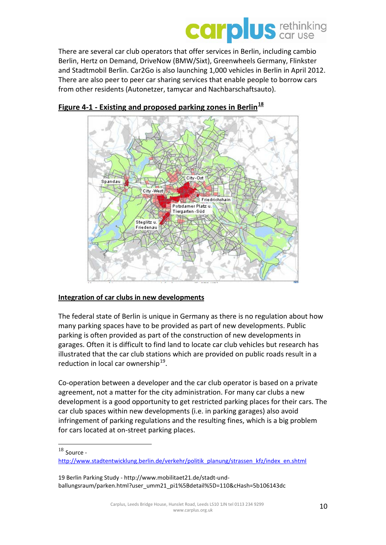## City-Ost Spandau City - West Friedrichshair Potsdamer Platz ( Tiergarten-Süd Steglitz u. **Friedena**

There are several car club operators that offer services in Berlin, including cambio Berlin, Hertz on Demand, DriveNow (BMW/Sixt), Greenwheels Germany, Flinkster and Stadtmobil Berlin. Car2Go is also launching 1,000 vehicles in Berlin in April 2012. There are also peer to peer car sharing services that enable people to borrow cars

### **Figure 4-1 - Existing and proposed parking zones in Berlin[18](#page-10-0)**

from other residents (Autonetzer, tamycar and Nachbarschaftsauto).

### **Integration of car clubs in new developments**

The federal state of Berlin is unique in Germany as there is no regulation about how many parking spaces have to be provided as part of new developments. Public parking is often provided as part of the construction of new developments in garages. Often it is difficult to find land to locate car club vehicles but research has illustrated that the car club stations which are provided on public roads result in a reduction in local car ownership $^{19}$  $^{19}$  $^{19}$ .

Co-operation between a developer and the car club operator is based on a private agreement, not a matter for the city administration. For many car clubs a new development is a good opportunity to get restricted parking places for their cars. The car club spaces within new developments (i.e. in parking garages) also avoid infringement of parking regulations and the resulting fines, which is a big problem for cars located at on-street parking places.

<span id="page-10-0"></span> $18$  Source -

[http://www.stadtentwicklung.berlin.de/verkehr/politik\\_planung/strassen\\_kfz/index\\_en.shtml](http://www.stadtentwicklung.berlin.de/verkehr/politik_planung/strassen_kfz/index_en.shtml)

<span id="page-10-1"></span><sup>19</sup> Berlin Parking Study - [http://www.mobilitaet21.de/stadt-und](http://www.mobilitaet21.de/stadt-und-ballungsraum/parken.html?user_umm21_pi1%5Bdetail%5D=110&cHash=5b106143dc)[ballungsraum/parken.html?user\\_umm21\\_pi1%5Bdetail%5D=110&cHash=5b106143dc](http://www.mobilitaet21.de/stadt-und-ballungsraum/parken.html?user_umm21_pi1%5Bdetail%5D=110&cHash=5b106143dc)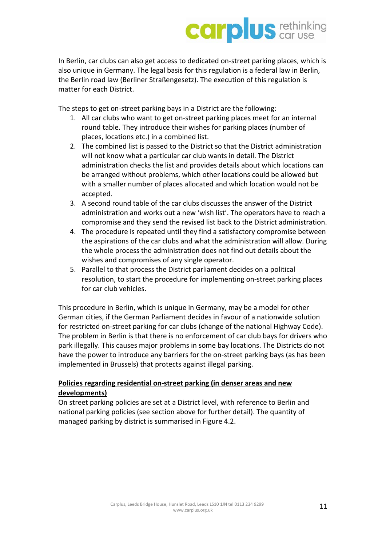In Berlin, car clubs can also get access to dedicated on-street parking places, which is also unique in Germany. The legal basis for this regulation is a federal law in Berlin, the Berlin road law (Berliner Straßengesetz). The execution of this regulation is matter for each District.

The steps to get on-street parking bays in a District are the following:

- 1. All car clubs who want to get on-street parking places meet for an internal round table. They introduce their wishes for parking places (number of places, locations etc.) in a combined list.
- 2. The combined list is passed to the District so that the District administration will not know what a particular car club wants in detail. The District administration checks the list and provides details about which locations can be arranged without problems, which other locations could be allowed but with a smaller number of places allocated and which location would not be accepted.
- 3. A second round table of the car clubs discusses the answer of the District administration and works out a new 'wish list'. The operators have to reach a compromise and they send the revised list back to the District administration.
- 4. The procedure is repeated until they find a satisfactory compromise between the aspirations of the car clubs and what the administration will allow. During the whole process the administration does not find out details about the wishes and compromises of any single operator.
- 5. Parallel to that process the District parliament decides on a political resolution, to start the procedure for implementing on-street parking places for car club vehicles.

This procedure in Berlin, which is unique in Germany, may be a model for other German cities, if the German Parliament decides in favour of a nationwide solution for restricted on-street parking for car clubs (change of the national Highway Code). The problem in Berlin is that there is no enforcement of car club bays for drivers who park illegally. This causes major problems in some bay locations. The Districts do not have the power to introduce any barriers for the on-street parking bays (as has been implemented in Brussels) that protects against illegal parking.

#### **Policies regarding residential on-street parking (in denser areas and new developments)**

On street parking policies are set at a District level, with reference to Berlin and national parking policies (see section above for further detail). The quantity of managed parking by district is summarised in Figure 4.2.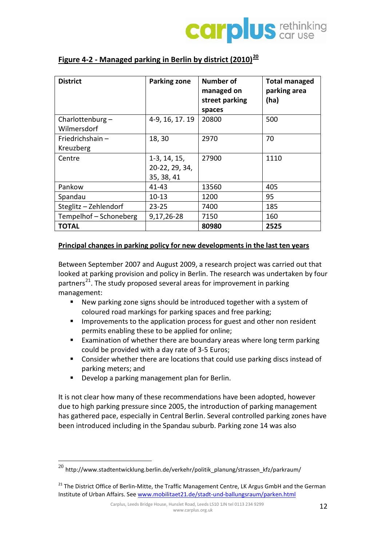

| <b>District</b>                | <b>Parking zone</b>                            | Number of<br>managed on<br>street parking<br>spaces | <b>Total managed</b><br>parking area<br>(ha) |
|--------------------------------|------------------------------------------------|-----------------------------------------------------|----------------------------------------------|
| Charlottenburg-<br>Wilmersdorf | 4-9, 16, 17. 19                                | 20800                                               | 500                                          |
| Friedrichshain-<br>Kreuzberg   | 18,30                                          | 2970                                                | 70                                           |
| Centre                         | $1-3, 14, 15,$<br>20-22, 29, 34,<br>35, 38, 41 | 27900                                               | 1110                                         |
| Pankow                         | 41-43                                          | 13560                                               | 405                                          |
| Spandau                        | $10 - 13$                                      | 1200                                                | 95                                           |
| Steglitz - Zehlendorf          | $23 - 25$                                      | 7400                                                | 185                                          |
| Tempelhof - Schoneberg         | 9,17,26-28                                     | 7150                                                | 160                                          |
| <b>TOTAL</b>                   |                                                | 80980                                               | 2525                                         |

#### **Figure 4-2 - Managed parking in Berlin by district (2010)[20](#page-12-0)**

#### **Principal changes in parking policy for new developments in the last ten years**

Between September 2007 and August 2009, a research project was carried out that looked at parking provision and policy in Berlin. The research was undertaken by four partners<sup>[21](#page-12-1)</sup>. The study proposed several areas for improvement in parking management:

- New parking zone signs should be introduced together with a system of coloured road markings for parking spaces and free parking;
- **IMPRO** Improvements to the application process for guest and other non resident permits enabling these to be applied for online;
- **Examination of whether there are boundary areas where long term parking** could be provided with a day rate of 3-5 Euros;
- Consider whether there are locations that could use parking discs instead of parking meters; and
- Develop a parking management plan for Berlin.

It is not clear how many of these recommendations have been adopted, however due to high parking pressure since 2005, the introduction of parking management has gathered pace, especially in Central Berlin. Several controlled parking zones have been introduced including in the Spandau suburb. Parking zone 14 was also

<span id="page-12-0"></span> $^{20}$  [http://www.stadtentwicklung.berlin.de/verkehr/politik\\_planung/strassen\\_kfz/parkraum/](http://www.stadtentwicklung.berlin.de/verkehr/politik_planung/strassen_kfz/parkraum/)

<span id="page-12-1"></span><sup>&</sup>lt;sup>21</sup> The District Office of Berlin-Mitte, the Traffic Management Centre, LK Argus GmbH and the German Institute of Urban Affairs. Se[e www.mobilitaet21.de/stadt-und-ballungsraum/parken.html](http://www.mobilitaet21.de/stadt-und-ballungsraum/parken.html)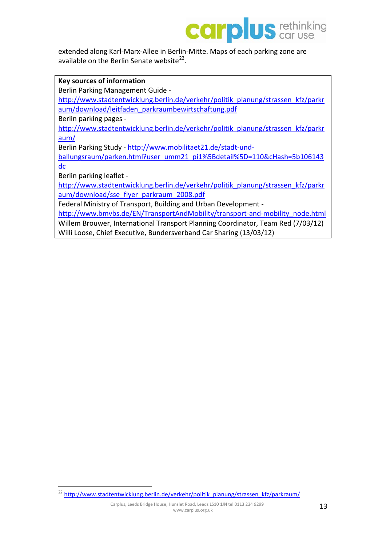extended along Karl-Marx-Allee in Berlin-Mitte. Maps of each parking zone are available on the Berlin Senate website $^{22}$ .

**Key sources of information** Berlin Parking Management Guide [http://www.stadtentwicklung.berlin.de/verkehr/politik\\_planung/strassen\\_kfz/parkr](http://www.stadtentwicklung.berlin.de/verkehr/politik_planung/strassen_kfz/parkraum/download/leitfaden_parkraumbewirtschaftung.pdf) [aum/download/leitfaden\\_parkraumbewirtschaftung.pdf](http://www.stadtentwicklung.berlin.de/verkehr/politik_planung/strassen_kfz/parkraum/download/leitfaden_parkraumbewirtschaftung.pdf) Berlin parking pages [http://www.stadtentwicklung.berlin.de/verkehr/politik\\_planung/strassen\\_kfz/parkr](http://www.stadtentwicklung.berlin.de/verkehr/politik_planung/strassen_kfz/parkraum/) [aum/](http://www.stadtentwicklung.berlin.de/verkehr/politik_planung/strassen_kfz/parkraum/) Berlin Parking Study - [http://www.mobilitaet21.de/stadt-und](http://www.mobilitaet21.de/stadt-und-ballungsraum/parken.html?user_umm21_pi1%5Bdetail%5D=110&cHash=5b106143dc)[ballungsraum/parken.html?user\\_umm21\\_pi1%5Bdetail%5D=110&cHash=5b106143](http://www.mobilitaet21.de/stadt-und-ballungsraum/parken.html?user_umm21_pi1%5Bdetail%5D=110&cHash=5b106143dc) [dc](http://www.mobilitaet21.de/stadt-und-ballungsraum/parken.html?user_umm21_pi1%5Bdetail%5D=110&cHash=5b106143dc) Berlin parking leaflet [http://www.stadtentwicklung.berlin.de/verkehr/politik\\_planung/strassen\\_kfz/parkr](http://www.stadtentwicklung.berlin.de/verkehr/politik_planung/strassen_kfz/parkraum/download/sse_flyer_parkraum_2008.pdf) [aum/download/sse\\_flyer\\_parkraum\\_2008.pdf](http://www.stadtentwicklung.berlin.de/verkehr/politik_planung/strassen_kfz/parkraum/download/sse_flyer_parkraum_2008.pdf) Federal Ministry of Transport, Building and Urban Development [http://www.bmvbs.de/EN/TransportAndMobility/transport-and-mobility\\_node.html](http://www.bmvbs.de/EN/TransportAndMobility/transport-and-mobility_node.html)

Willem Brouwer, International Transport Planning Coordinator, Team Red (7/03/12)

Willi Loose, Chief Executive, Bundersverband Car Sharing (13/03/12)

<span id="page-13-0"></span><sup>22</sup> [http://www.stadtentwicklung.berlin.de/verkehr/politik\\_planung/strassen\\_kfz/parkraum/](http://www.stadtentwicklung.berlin.de/verkehr/politik_planung/strassen_kfz/parkraum/)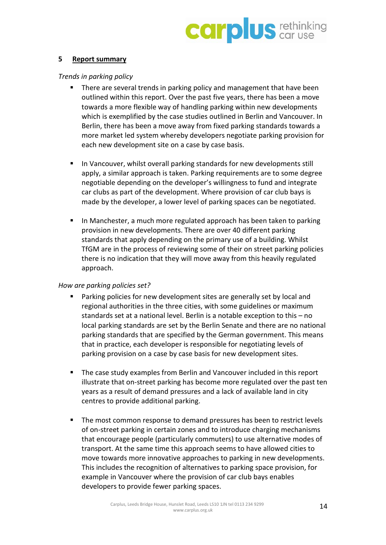

#### <span id="page-14-0"></span>**5 Report summary**

#### <span id="page-14-1"></span>*Trends in parking policy*

- There are several trends in parking policy and management that have been outlined within this report. Over the past five years, there has been a move towards a more flexible way of handling parking within new developments which is exemplified by the case studies outlined in Berlin and Vancouver. In Berlin, there has been a move away from fixed parking standards towards a more market led system whereby developers negotiate parking provision for each new development site on a case by case basis.
- In Vancouver, whilst overall parking standards for new developments still apply, a similar approach is taken. Parking requirements are to some degree negotiable depending on the developer's willingness to fund and integrate car clubs as part of the development. Where provision of car club bays is made by the developer, a lower level of parking spaces can be negotiated.
- In Manchester, a much more regulated approach has been taken to parking provision in new developments. There are over 40 different parking standards that apply depending on the primary use of a building. Whilst TfGM are in the process of reviewing some of their on street parking policies there is no indication that they will move away from this heavily regulated approach.

#### <span id="page-14-2"></span>*How are parking policies set?*

- Parking policies for new development sites are generally set by local and regional authorities in the three cities, with some guidelines or maximum standards set at a national level. Berlin is a notable exception to this – no local parking standards are set by the Berlin Senate and there are no national parking standards that are specified by the German government. This means that in practice, each developer is responsible for negotiating levels of parking provision on a case by case basis for new development sites.
- The case study examples from Berlin and Vancouver included in this report illustrate that on-street parking has become more regulated over the past ten years as a result of demand pressures and a lack of available land in city centres to provide additional parking.
- The most common response to demand pressures has been to restrict levels of on-street parking in certain zones and to introduce charging mechanisms that encourage people (particularly commuters) to use alternative modes of transport. At the same time this approach seems to have allowed cities to move towards more innovative approaches to parking in new developments. This includes the recognition of alternatives to parking space provision, for example in Vancouver where the provision of car club bays enables developers to provide fewer parking spaces.